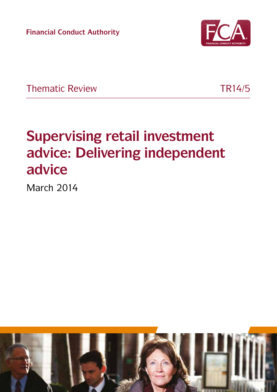**Financial Conduct Authority**



Thematic Review TR14/5

# **Supervising retail investment advice: Delivering independent advice**

March 2014

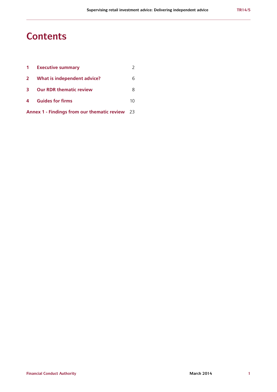### **Contents**

| $\mathbf 1$                                           | <b>Executive summary</b>       |    |
|-------------------------------------------------------|--------------------------------|----|
| $\mathbf{2}$                                          | What is independent advice?    | 6  |
| 3                                                     | <b>Our RDR thematic review</b> | 8  |
| $\overline{4}$                                        | <b>Guides for firms</b>        | 10 |
| <b>Annex 1 - Findings from our thematic review</b> 23 |                                |    |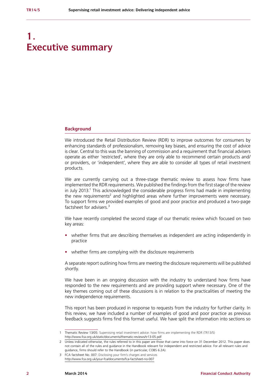# **1. Executive summary**

#### **Background**

We introduced the Retail Distribution Review (RDR) to improve outcomes for consumers by enhancing standards of professionalism, removing key biases, and ensuring the cost of advice is clear. Central to this was the banning of commission and a requirement that financial advisers operate as either 'restricted', where they are only able to recommend certain products and/ or providers, or 'independent', where they are able to consider all types of retail investment products.

We are currently carrying out a three-stage thematic review to assess how firms have implemented the RDR requirements. We published the findings from the first stage of the review in July 2013.<sup>1</sup> This acknowledged the considerable progress firms had made in implementing the new requirements<sup>2</sup> and highlighted areas where further improvements were necessary. To support firms we provided examples of good and poor practice and produced a two-page factsheet for advisers<sup>3</sup>

We have recently completed the second stage of our thematic review which focused on two key areas:

- **•** whether firms that are describing themselves as independent are acting independently in practice
- **•** whether firms are complying with the disclosure requirements

A separate report outlining how firms are meeting the disclosure requirements will be published shortly.

We have been in an ongoing discussion with the industry to understand how firms have responded to the new requirements and are providing support where necessary. One of the key themes coming out of these discussions is in relation to the practicalities of meeting the new independence requirements.

This report has been produced in response to requests from the industry for further clarity. In this review, we have included a number of examples of good and poor practice as previous feedback suggests firms find this format useful. We have split the information into sections so

<sup>1</sup> Thematic Review 13/05: Supervising retail investment advice: how firms are implementing the RDR (TR13/5) <http://www.fca.org.uk/static/documents/thematic-reviews/tr13-05.pdf>

<sup>2</sup> Unless indicated otherwise, the rules referred to in this paper are those that came into force on 31 December 2012. This paper does not contain all of the rules and guidance in the Handbook relevant for independent and restricted advice. For all relevant rules and guidance, firms should refer to the Handbook (in particular, COBS 6.2A).

<sup>3</sup> FCA factsheet No. 007: Disclosing your firm's charges and services <http://www.fca.org.uk/your-fca/documents/fca-factsheet-no-007>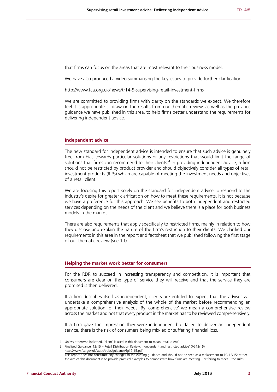that firms can focus on the areas that are most relevant to their business model.

We have also produced a video summarising the key issues to provide further clarification:

#### <http://www.fca.org.uk/news/tr14-5-supervising-retail-investment-firms>

We are committed to providing firms with clarity on the standards we expect. We therefore feel it is appropriate to draw on the results from our thematic review, as well as the previous guidance we have published in this area, to help firms better understand the requirements for delivering independent advice.

#### **Independent advice**

The new standard for independent advice is intended to ensure that such advice is genuinely free from bias towards particular solutions or any restrictions that would limit the range of solutions that firms can recommend to their clients.<sup>4</sup> In providing independent advice, a firm should not be restricted by product provider and should objectively consider all types of retail investment products (RIPs) which are capable of meeting the investment needs and objectives of a retail client.<sup>5</sup>

We are focusing this report solely on the standard for independent advice to respond to the industry's desire for greater clarification on how to meet these requirements. It is not because we have a preference for this approach. We see benefits to both independent and restricted services depending on the needs of the client and we believe there is a place for both business models in the market.

There are also requirements that apply specifically to restricted firms, mainly in relation to how they disclose and explain the nature of the firm's restriction to their clients. We clarified our requirements in this area in the report and factsheet that we published following the first stage of our thematic review (see 1.1).

#### **Helping the market work better for consumers**

For the RDR to succeed in increasing transparency and competition, it is important that consumers are clear on the type of service they will receive and that the service they are promised is then delivered.

If a firm describes itself as independent, clients are entitled to expect that the adviser will undertake a comprehensive analysis of the whole of the market before recommending an appropriate solution for their needs. By 'comprehensive' we mean a comprehensive review across the market and not that every product in the market has to be reviewed comprehensively.

If a firm gave the impression they were independent but failed to deliver an independent service, there is the risk of consumers being mis-led or suffering financial loss.

<sup>4</sup> Unless otherwise indicated, 'client' is used in this document to mean 'retail client'.

<sup>5</sup> Finalised Guidance: 12/15 – Retail Distribution Review: independent and restricted advice' (FG12/15) <http://www.fsa.gov.uk/static/pubs/guidance/fg12-15.pdf>

This report does not constitute any changes to the existing guidance and should not be seen as a replacement to FG 12/15; rather, the aim of this document is to provide practical examples to demonstrate how firms are meeting – or failing to meet – the rules.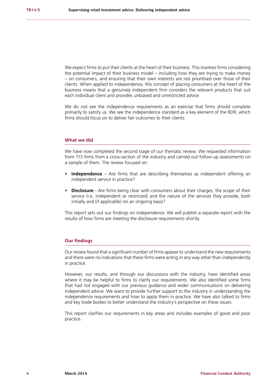We expect firms to put their clients at the heart of their business. This involves firms considering the potential impact of their business model – including how they are trying to make money – on consumers, and ensuring that their own interests are not prioritised over those of their clients. When applied to independence, this concept of placing consumers at the heart of the business means that a genuinely independent firm considers the relevant products that suit each individual client and provides unbiased and unrestricted advice.

We do not see the independence requirements as an exercise that firms should complete primarily to satisfy us. We see the independence standard as a key element of the RDR, which firms should focus on to deliver fair outcomes to their clients.

#### **What we did**

We have now completed the second stage of our thematic review. We requested information from 113 firms from a cross-section of the industry and carried out follow-up assessments on a sample of them. The review focused on:

- **• Independence** Are firms that are describing themselves as independent offering an independent service in practice?
- **• Disclosure** Are firms being clear with consumers about their charges, the scope of their service (i.e. independent or restricted) and the nature of the services they provide, both initially and (if applicable) on an ongoing basis?

This report sets out our findings on independence. We will publish a separate report with the results of how firms are meeting the disclosure requirements shortly.

#### **Our findings**

Our review found that a significant number of firms appear to understand the new requirements and there were no indications that these firms were acting in any way other than independently in practice.

However, our results, and through our discussions with the industry, have identified areas where it may be helpful to firms to clarify our requirements. We also identified some firms that had not engaged with our previous guidance and wider communications on delivering independent advice. We want to provide further support to the industry in understanding the independence requirements and how to apply them in practice. We have also talked to firms and key trade bodies to better understand the industry's perspective on these issues.

This report clarifies our requirements in key areas and includes examples of good and poor practice.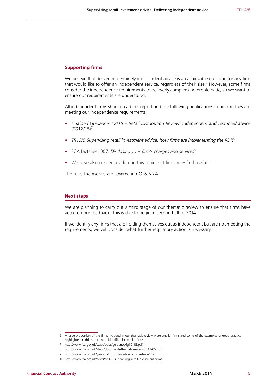#### **Supporting firms**

We believe that delivering genuinely independent advice is an achievable outcome for any firm that would like to offer an independent service, regardless of their size.<sup>6</sup> However, some firms consider the independence requirements to be overly complex and problematic, so we want to ensure our requirements are understood.

All independent firms should read this report and the following publications to be sure they are meeting our independence requirements:

- **•** *Finalised Guidance: 12/15 Retail Distribution Review: independent and restricted advice*   $(FG12/15)^7$
- **•** *TR13/5 Supervising retail investment advice: how firms are implementing the RDR*<sup>8</sup>
- FCA factsheet 007: *Disclosing your firm's charges and services*<sup>9</sup>
- We have also created a video on this topic that firms may find useful<sup>10</sup>

The rules themselves are covered in COBS 6.2A.

#### **Next steps**

We are planning to carry out a third stage of our thematic review to ensure that firms have acted on our feedback. This is due to begin in second half of 2014.

If we identify any firms that are holding themselves out as independent but are not meeting the requirements, we will consider what further regulatory action is necessary.

<sup>6</sup> A large proportion of the firms included in our thematic review were smaller firms and some of the examples of good practice highlighted in this report were identified in smaller firms.

<sup>7</sup> <http://www.fsa.gov.uk/static/pubs/guidance/fg12-15.pdf>

<sup>8</sup> <http://www.fca.org.uk/static/documents/thematic-reviews/tr13-05.pdf>

<sup>9</sup> <http://www.fca.org.uk/your-fca/documents/fca-factsheet-no-007>

<sup>10</sup> <http://www.fca.org.uk/news/tr14-5-supervising-retail-investment-firms>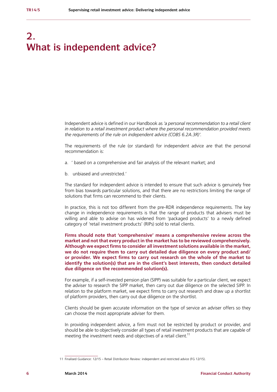# **2. What is independent advice?**

Independent advice is defined in our Handbook as *'a personal recommendation to a retail client in relation to a retail investment product where the personal recommendation provided meets the requirements of the rule on independent advice (COBS 6.2A.3R)'.*

The requirements of the rule (or standard) for independent advice are that the personal recommendation is:

- a. ' based on a comprehensive and fair analysis of the relevant market; and
- b. unbiased and unrestricted.'

The standard for independent advice is intended to ensure that such advice is genuinely free from bias towards particular solutions, and that there are no restrictions limiting the range of solutions that firms can recommend to their clients.

In practice, this is not too different from the pre-RDR independence requirements. The key change in independence requirements is that the range of products that advisers must be willing and able to advise on has widened from 'packaged products' to a newly defined category of 'retail investment products' (RIPs) sold to retail clients.

**Firms should note that 'comprehensive' means a comprehensive review across the market and not that every product in the market has to be reviewed comprehensively. Although we expect firms to consider all investment solutions available in the market, we do not require them to carry out detailed due diligence on every product and/ or provider. We expect firms to carry out research on the whole of the market to identify the solution(s) that are in the client's best interests, then conduct detailed due diligence on the recommended solution(s).** 

For example, if a self-invested pension plan (SIPP) was suitable for a particular client, we expect the adviser to research the SIPP market, then carry out due diligence on the selected SIPP. In relation to the platform market, we expect firms to carry out research and draw up a shortlist of platform providers, then carry out due diligence on the shortlist.

Clients should be given accurate information on the type of service an adviser offers so they can choose the most appropriate adviser for them.

In providing independent advice, a firm must not be restricted by product or provider, and should be able to objectively consider all types of retail investment products that are capable of meeting the investment needs and objectives of a retail client.<sup>11</sup>

<sup>11</sup> Finalised Guidance: 12/15 – Retail Distribution Review: independent and restricted advice (FG 12/15).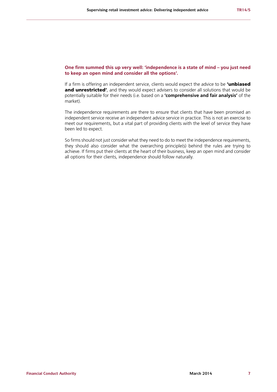#### **One firm summed this up very well: 'independence is a state of mind – you just need to keep an open mind and consider all the options'.**

If a firm is offering an independent service, clients would expect the advice to be **'unbiased** and unrestricted', and they would expect advisers to consider all solutions that would be potentially suitable for their needs (i.e. based on a **'comprehensive and fair analysis'** of the market).

The independence requirements are there to ensure that clients that have been promised an independent service receive an independent advice service in practice. This is not an exercise to meet our requirements, but a vital part of providing clients with the level of service they have been led to expect.

So firms should not just consider what they need to do to meet the independence requirements, they should also consider what the overarching principle(s) behind the rules are trying to achieve. If firms put their clients at the heart of their business, keep an open mind and consider all options for their clients, independence should follow naturally.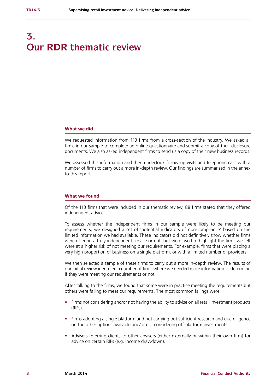# **3. Our RDR thematic review**

#### **What we did**

We requested information from 113 firms from a cross-section of the industry. We asked all firms in our sample to complete an online questionnaire and submit a copy of their disclosure documents. We also asked independent firms to send us a copy of their new business records.

We assessed this information and then undertook follow-up visits and telephone calls with a number of firms to carry out a more in-depth review. Our findings are summarised in the annex to this report.

#### **What we found**

Of the 113 firms that were included in our thematic review, 88 firms stated that they offered independent advice.

To assess whether the independent firms in our sample were likely to be meeting our requirements, we designed a set of 'potential indicators of non-compliance' based on the limited information we had available. These indicators did not definitively show whether firms were offering a truly independent service or not, but were used to highlight the firms we felt were at a higher risk of not meeting our requirements. For example, firms that were placing a very high proportion of business on a single platform, or with a limited number of providers.

We then selected a sample of these firms to carry out a more in-depth review. The results of our initial review identified a number of firms where we needed more information to determine if they were meeting our requirements or not.

After talking to the firms, we found that some were in practice meeting the requirements but others were failing to meet our requirements. The most common failings were:

- **•** Firms not considering and/or not having the ability to advise on all retail investment products (RIPs).
- **•** Firms adopting a single platform and not carrying out sufficient research and due diligence on the other options available and/or not considering off-platform investments.
- **•** Advisers referring clients to other advisers (either externally or within their own firm) for advice on certain RIPs (e.g. income drawdown).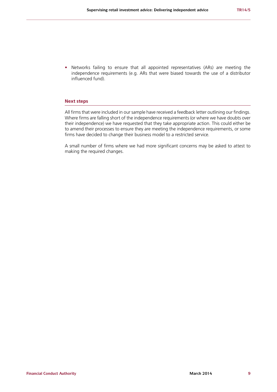**•** Networks failing to ensure that all appointed representatives (ARs) are meeting the independence requirements (e.g. ARs that were biased towards the use of a distributor influenced fund).

#### **Next steps**

All firms that were included in our sample have received a feedback letter outlining our findings. Where firms are falling short of the independence requirements (or where we have doubts over their independence) we have requested that they take appropriate action. This could either be to amend their processes to ensure they are meeting the independence requirements, or some firms have decided to change their business model to a restricted service.

A small number of firms where we had more significant concerns may be asked to attest to making the required changes.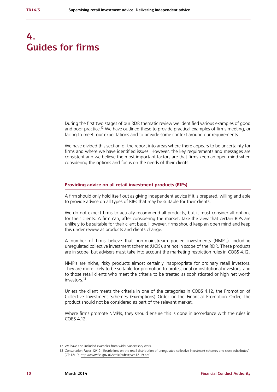# **4. Guides for firms**

During the first two stages of our RDR thematic review we identified various examples of good and poor practice.<sup>12</sup> We have outlined these to provide practical examples of firms meeting, or failing to meet, our expectations and to provide some context around our requirements.

We have divided this section of the report into areas where there appears to be uncertainty for firms and where we have identified issues. However, the key requirements and messages are consistent and we believe the most important factors are that firms keep an open mind when considering the options and focus on the needs of their clients.

#### **Providing advice on all retail investment products (RIPs)**

A firm should only hold itself out as giving independent advice if it is prepared, willing and able to provide advice on all types of RIPs that may be suitable for their clients.

We do not expect firms to actually recommend all products, but it must consider all options for their clients. A firm can, after considering the market, take the view that certain RIPs are unlikely to be suitable for their client base. However, firms should keep an open mind and keep this under review as products and clients change.

A number of firms believe that non-mainstream pooled investments (NMPIs), including unregulated collective investment schemes (UCIS), are not in scope of the RDR. These products are in scope, but advisers must take into account the marketing restriction rules in COBS 4.12.

NMPIs are niche, risky products almost certainly inappropriate for ordinary retail investors. They are more likely to be suitable for promotion to professional or institutional investors, and to those retail clients who meet the criteria to be treated as sophisticated or high net worth investors.13

Unless the client meets the criteria in one of the categories in COBS 4.12, the Promotion of Collective Investment Schemes (Exemptions) Order or the Financial Promotion Order, the product should not be considered as part of the relevant market.

Where firms promote NMPIs, they should ensure this is done in accordance with the rules in COBS 4.12.

<sup>12</sup> We have also included examples from wider Supervisory work.

<sup>13</sup> Consultation Paper 12/19: 'Restrictions on the retail distribution of unregulated collective investment schemes and close substitutes' (CP 12/19)<http://www.fsa.gov.uk/static/pubs/cp/cp12-19.pdf>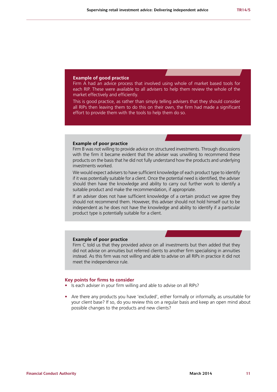#### **Example of good practice**

Firm A had an advice process that involved using whole of market based tools for each RIP. These were available to all advisers to help them review the whole of the market effectively and efficiently.

This is good practice, as rather than simply telling advisers that they should consider all RIPs then leaving them to do this on their own, the firm had made a significant effort to provide them with the tools to help them do so.

#### **Example of poor practice**

Firm B was not willing to provide advice on structured investments. Through discussions with the firm it became evident that the adviser was unwilling to recommend these products on the basis that he did not fully understand how the products and underlying investments worked.

We would expect advisers to have sufficient knowledge of each product type to identify if it was potentially suitable for a client. Once the potential need is identified, the adviser should then have the knowledge and ability to carry out further work to identify a suitable product and make the recommendation, if appropriate.

If an adviser does not have sufficient knowledge of a certain product we agree they should not recommend them. However, this adviser should not hold himself out to be independent as he does not have the knowledge and ability to identify if a particular product type is potentially suitable for a client.

#### **Example of poor practice**

Firm C told us that they provided advice on all investments but then added that they did not advise on annuities but referred clients to another firm specialising in annuities instead. As this firm was not willing and able to advise on all RIPs in practice it did not meet the independence rule.

#### **Key points for firms to consider**

- **•** Is each adviser in your firm willing and able to advise on all RIPs?
- **•** Are there any products you have 'excluded', either formally or informally, as unsuitable for your client base? If so, do you review this on a regular basis and keep an open mind about possible changes to the products and new clients?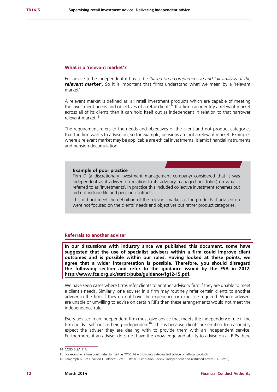#### **What is a 'relevant market'?**

For advice to be independent it has to be *'based on a comprehensive and fair analysis of the relevant market'*. So it is important that firms understand what we mean by a 'relevant market'.

A relevant market is defined as 'all retail investment products which are capable of meeting the investment needs and objectives of a retail client<sup>'.14</sup> If a firm can identify a relevant market across all of its clients then it can hold itself out as independent in relation to that narrower relevant market.15

The requirement refers to the needs and objectives of the client and not product categories that the firm wants to advise on, so for example, pensions are not a relevant market. Examples where a relevant market may be applicable are ethical investments, Islamic financial instruments and pension decumulation.

#### **Example of poor practice**

Firm D (a discretionary investment management company) considered that it was independent as it advised (in relation to its advisory managed portfolios) on what it referred to as 'investments'. In practice this included collective investment schemes but did not include life and pension contracts.

This did not meet the definition of the relevant market as the products it advised on were not focused on the clients' needs and objectives but rather product categories.

#### **Referrals to another adviser**

**In our discussions with industry since we published this document, some have suggested that the use of specialist advisers within a firm could improve client outcomes and is possible within our rules. Having looked at these points, we agree that a wider interpretation is possible. Therefore, you should disregard the following section and refer to the guidance issued by the FSA in 2012: [http://www.fca.org.uk/static/pubs/guidance/fg12-15.pdf.](http://http://www.fca.org.uk/static/pubs/guidance/fg12-15.pdf)**

We have seen cases where firms refer clients to another advisory firm if they are unable to meet a client's needs. Similarly, one adviser in a firm may routinely refer certain clients to another adviser in the firm if they do not have the experience or expertise required. Where advisers are unable or unwilling to advise on certain RIPs then these arrangements would not meet the independence rule.

Every adviser in an independent firm must give advice that meets the independence rule if the firm holds itself out as being independent<sup>16</sup>. This is because clients are entitled to reasonably expect the adviser they are dealing with to provide them with an independent service. Furthermore, if an adviser does not have the knowledge and ability to advise on all RIPs there

<sup>14</sup> COBS 6.2A.11G.

<sup>15</sup> For example, a firm could refer to itself as 'XYZ Ltd – providing independent advice on ethical products'.

<sup>16</sup> Paragraph 6.8 of Finalised Guidance: 12/15 – Retail Distribution Review: independent and restricted advice (FG 12/15)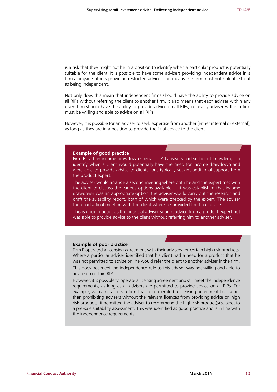is a risk that they might not be in a position to identify when a particular product is potentially suitable for the client. It is possible to have some advisers providing independent advice in a firm alongside others providing restricted advice. This means the firm must not hold itself out as being independent.

Not only does this mean that independent firms should have the ability to provide advice on all RIPs without referring the client to another firm, it also means that each adviser within any given firm should have the ability to provide advice on all RIPs, i.e. every adviser within a firm must be willing and able to advise on all RIPs.

However, it is possible for an adviser to seek expertise from another (either internal or external), as long as they are in a position to provide the final advice to the client.

#### **Example of good practice**

Firm E had an income drawdown specialist. All advisers had sufficient knowledge to identify when a client would potentially have the need for income drawdown and were able to provide advice to clients, but typically sought additional support from the product expert.

The adviser would arrange a second meeting where both he and the expert met with the client to discuss the various options available. If it was established that income drawdown was an appropriate option, the adviser would carry out the research and draft the suitability report, both of which were checked by the expert. The adviser then had a final meeting with the client where he provided the final advice.

This is good practice as the financial adviser sought advice from a product expert but was able to provide advice to the client without referring him to another adviser.

#### **Example of poor practice**

Firm F operated a licensing agreement with their advisers for certain high risk products. Where a particular adviser identified that his client had a need for a product that he was not permitted to advise on, he would refer the client to another adviser in the firm. This does not meet the independence rule as this adviser was not willing and able to

advise on certain RIPs.

However, it is possible to operate a licensing agreement and still meet the independence requirements, as long as all advisers are permitted to provide advice on all RIPs. For example, we came across a firm that also operated a licensing agreement but rather than prohibiting advisers without the relevant licences from providing advice on high risk products, it permitted the adviser to recommend the high risk product(s) subject to a pre-sale suitability assessment. This was identified as good practice and is in line with the independence requirements.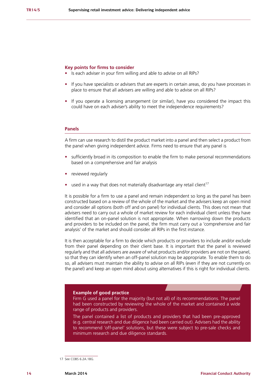#### **Key points for firms to consider**

- **•** Is each adviser in your firm willing and able to advise on all RIPs?
- **•** If you have specialists or advisers that are experts in certain areas, do you have processes in place to ensure that all advisers are willing and able to advise on all RIPs?
- **•** If you operate a licensing arrangement (or similar), have you considered the impact this could have on each adviser's ability to meet the independence requirements?

#### **Panels**

A firm can use research to distil the product market into a panel and then select a product from the panel when giving independent advice. Firms need to ensure that any panel is

- **•** sufficiently broad in its composition to enable the firm to make personal recommendations based on a comprehensive and fair analysis
- **•** reviewed regularly
- **used in a way that does not materially disadvantage any retail client<sup>17</sup>**

It is possible for a firm to use a panel and remain independent so long as the panel has been constructed based on a review of the whole of the market and the advisers keep an open mind and consider all options (both off and on panel) for individual clients. This does not mean that advisers need to carry out a whole of market review for each individual client unless they have identified that an on-panel solution is not appropriate. When narrowing down the products and providers to be included on the panel, the firm must carry out a 'comprehensive and fair analysis' of the market and should consider all RIPs in the first instance.

It is then acceptable for a firm to decide which products or providers to include and/or exclude from their panel depending on their client base. It is important that the panel is reviewed regularly and that all advisers are aware of what products and/or providers are not on the panel, so that they can identify when an off-panel solution may be appropriate. To enable them to do so, all advisers must maintain the ability to advise on all RIPs (even if they are not currently on the panel) and keep an open mind about using alternatives if this is right for individual clients.

#### **Example of good practice**

Firm G used a panel for the majority (but not all) of its recommendations. The panel had been constructed by reviewing the whole of the market and contained a wide range of products and providers.

The panel contained a list of products and providers that had been pre-approved (e.g. central research and due diligence had been carried out). Advisers had the ability to recommend 'off-panel' solutions, but these were subject to pre-sale checks and minimum research and due diligence standards.

<sup>17</sup> See COBS 6.2A.18G.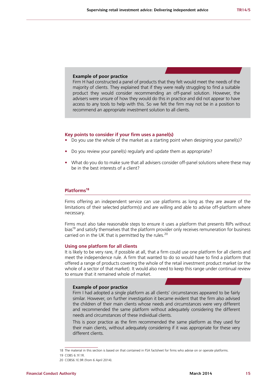#### **Example of poor practice**

Firm H had constructed a panel of products that they felt would meet the needs of the majority of clients. They explained that if they were really struggling to find a suitable product they would consider recommending an off-panel solution. However, the advisers were unsure of how they would do this in practice and did not appear to have access to any tools to help with this. So we felt the firm may not be in a position to recommend an appropriate investment solution to all clients.

#### **Key points to consider if your firm uses a panel(s)**

- **•** Do you use the whole of the market as a starting point when designing your panel(s)?
- **•** Do you review your panel(s) regularly and update them as appropriate?
- **•** What do you do to make sure that all advisers consider off-panel solutions where these may be in the best interests of a client?

#### **Platforms18**

Firms offering an independent service can use platforms as long as they are aware of the limitations of their selected platform(s) and are willing and able to advise off-platform where necessary.

Firms must also take reasonable steps to ensure it uses a platform that presents RIPs without bias<sup>19</sup> and satisfy themselves that the platform provider only receives remuneration for business carried on in the UK that is permitted by the rules.<sup>20</sup>

#### **Using one platform for all clients**

It is likely to be very rare, if possible at all, that a firm could use one platform for all clients and meet the independence rule. A firm that wanted to do so would have to find a platform that offered a range of products covering the whole of the retail investment product market (or the whole of a sector of that market). It would also need to keep this range under continual review to ensure that it remained whole of market.

#### **Example of poor practice**

Firm I had adopted a single platform as all clients' circumstances appeared to be fairly similar. However, on further investigation it became evident that the firm also advised the children of their main clients whose needs and circumstances were very different and recommended the same platform without adequately considering the different needs and circumstances of these individual clients.

This is poor practice as the firm recommended the same platform as they used for their main clients, without adequately considering if it was appropriate for these very different clients.

<sup>18</sup> The material in this section is based on that contained in FSA factsheet for firms who advise on or operate platforms.

<sup>19</sup> COBS 6.1F.1R.

<sup>20</sup> COBS6.1E.9R (from 6 April 2014).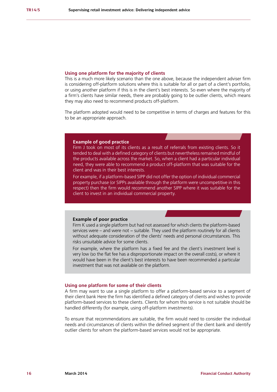#### **Using one platform for the majority of clients**

This is a much more likely scenario than the one above, because the independent adviser firm is considering off-platform solutions where this is suitable for all or part of a client's portfolio, or using another platform if this is in the client's best interests. So even where the majority of a firm's clients have similar needs, there are probably going to be outlier clients, which means they may also need to recommend products off-platform.

The platform adopted would need to be competitive in terms of charges and features for this to be an appropriate approach.

#### **Example of good practice**

Firm J took on most of its clients as a result of referrals from existing clients. So it tended to deal with a defined category of clients but nevertheless remained mindful of the products available across the market. So, when a client had a particular individual need, they were able to recommend a product off-platform that was suitable for the client and was in their best interests.

For example, if a platform-based SIPP did not offer the option of individual commercial property purchase (or SIPPs available through the platform were uncompetitive in this respect) then the firm would recommend another SIPP where it was suitable for the client to invest in an individual commercial property.

#### **Example of poor practice**

Firm K used a single platform but had not assessed for which clients the platform-based services were – and were not – suitable. They used the platform routinely for all clients without adequate consideration of the clients' needs and personal circumstances. This risks unsuitable advice for some clients.

For example, where the platform has a fixed fee and the client's investment level is very low (so the flat fee has a disproportionate impact on the overall costs), or where it would have been in the client's best interests to have been recommended a particular investment that was not available on the platform.

#### **Using one platform for some of their clients**

A firm may want to use a single platform to offer a platform-based service to a segment of their client bank Here the firm has identified a defined category of clients and wishes to provide platform-based services to these clients. Clients for whom this service is not suitable should be handled differently (for example, using off-platform investments).

To ensure that recommendations are suitable, the firm would need to consider the individual needs and circumstances of clients within the defined segment of the client bank and identify outlier clients for whom the platform-based services would not be appropriate.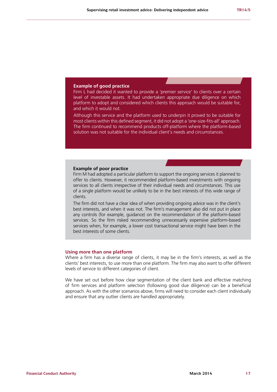#### **Example of good practice**

Firm L had decided it wanted to provide a 'premier service' to clients over a certain level of investable assets. It had undertaken appropriate due diligence on which platform to adopt and considered which clients this approach would be suitable for, and which it would not.

Although this service and the platform used to underpin it proved to be suitable for most clients within this defined segment, it did not adopt a 'one-size-fits-all' approach. The firm continued to recommend products off-platform where the platform-based solution was not suitable for the individual client's needs and circumstances.

#### **Example of poor practice**

Firm M had adopted a particular platform to support the ongoing services it planned to offer to clients. However, it recommended platform-based investments with ongoing services to all clients irrespective of their individual needs and circumstances. This use of a single platform would be unlikely to be in the best interests of this wide range of clients.

The firm did not have a clear idea of when providing ongoing advice was in the client's best interests, and when it was not. The firm's management also did not put in place any controls (for example, guidance) on the recommendation of the platform-based services. So the firm risked recommending unnecessarily expensive platform-based services when, for example, a lower cost transactional service might have been in the best interests of some clients.

#### **Using more than one platform**

Where a firm has a diverse range of clients, it may be in the firm's interests, as well as the clients' best interests, to use more than one platform. The firm may also want to offer different levels of service to different categories of client.

We have set out before how clear segmentation of the client bank and effective matching of firm services and platform selection (following good due diligence) can be a beneficial approach. As with the other scenarios above, firms will need to consider each client individually and ensure that any outlier clients are handled appropriately.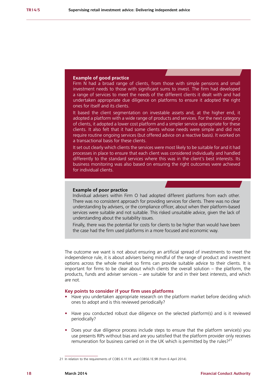#### **Example of good practice**

Firm N had a broad range of clients, from those with simple pensions and small investment needs to those with significant sums to invest. The firm had developed a range of services to meet the needs of the different clients it dealt with and had undertaken appropriate due diligence on platforms to ensure it adopted the right ones for itself and its clients.

It based the client segmentation on investable assets and, at the higher end, it adopted a platform with a wide range of products and services. For the next category of clients, it adopted a lower cost platform and a simpler service appropriate for these clients. It also felt that it had some clients whose needs were simple and did not require routine ongoing services (but offered advice on a reactive basis). It worked on a transactional basis for these clients.

It set out clearly which clients the services were most likely to be suitable for and it had processes in place to ensure that each client was considered individually and handled differently to the standard services where this was in the client's best interests. Its business monitoring was also based on ensuring the right outcomes were achieved for individual clients.

#### **Example of poor practice**

Individual advisers within Firm O had adopted different platforms from each other. There was no consistent approach for providing services for clients. There was no clear understanding by advisers, or the compliance officer, about when their platform-based services were suitable and not suitable. This risked unsuitable advice, given the lack of understanding about the suitability issues.

Finally, there was the potential for costs for clients to be higher than would have been the case had the firm used platforms in a more focused and economic way.

The outcome we want is not about ensuring an artificial spread of investments to meet the independence rule, it is about advisers being mindful of the range of product and investment options across the whole market so firms can provide suitable advice to their clients. It is important for firms to be clear about which clients the overall solution – the platform, the products, funds and adviser services – are suitable for and in their best interests, and which are not.

#### **Key points to consider if your firm uses platforms**

- **•** Have you undertaken appropriate research on the platform market before deciding which ones to adopt and is this reviewed periodically?
- **•** Have you conducted robust due diligence on the selected platform(s) and is it reviewed periodically?
- **•** Does your due diligence process include steps to ensure that the platform service(s) you use presents RIPs without bias and are you satisfied that the platform provider only receives remuneration for business carried on in the UK which is permitted by the rules?<sup>21</sup>

<sup>21</sup> In relation to the requirements of COBS 6.1F.1R. and COBS6.1E.9R (from 6 April 2014).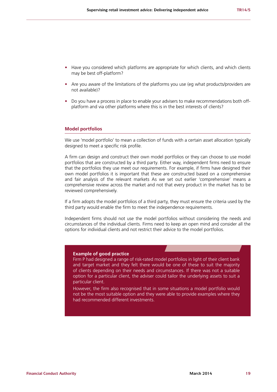- Have you considered which platforms are appropriate for which clients, and which clients may be best off-platform?
- Are you aware of the limitations of the platforms you use (eg what products/providers are not available)?
- **•** Do you have a process in place to enable your advisers to make recommendations both offplatform and via other platforms where this is in the best interests of clients?

#### **Model portfolios**

We use 'model portfolio' to mean a collection of funds with a certain asset allocation typically designed to meet a specific risk profile.

A firm can design and construct their own model portfolios or they can choose to use model portfolios that are constructed by a third party. Either way, independent firms need to ensure that the portfolios they use meet our requirements. For example, if firms have designed their own model portfolios it is important that these are constructed based on a comprehensive and fair analysis of the relevant markets As we set out earlier 'comprehensive' means a comprehensive review across the market and not that every product in the market has to be reviewed comprehensively.

If a firm adopts the model portfolios of a third party, they must ensure the criteria used by the third party would enable the firm to meet the independence requirements.

Independent firms should not use the model portfolios without considering the needs and circumstances of the individual clients. Firms need to keep an open mind and consider all the options for individual clients and not restrict their advice to the model portfolios.

#### **Example of good practice**

Firm P had designed a range of risk-rated model portfolios in light of their client bank and target market and they felt there would be one of these to suit the majority of clients depending on their needs and circumstances. If there was not a suitable option for a particular client, the adviser could tailor the underlying assets to suit a particular client.

However, the firm also recognised that in some situations a model portfolio would not be the most suitable option and they were able to provide examples where they had recommended different investments.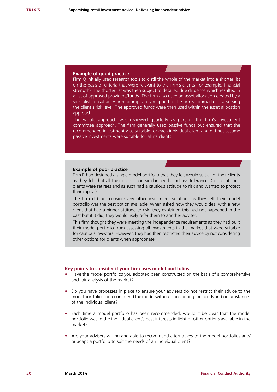#### **Example of good practice**

Firm Q initially used research tools to distil the whole of the market into a shorter list on the basis of criteria that were relevant to the firm's clients (for example, financial strength). The shorter list was then subject to detailed due diligence which resulted in a list of approved providers/funds. The firm also used an asset allocation created by a specialist consultancy firm appropriately mapped to the firm's approach for assessing the client's risk level. The approved funds were then used within the asset allocation approach.

The whole approach was reviewed quarterly as part of the firm's investment committee approach. The firm generally used passive funds but ensured that the recommended investment was suitable for each individual client and did not assume passive investments were suitable for all its clients.

#### **Example of poor practice**

Firm R had designed a single model portfolio that they felt would suit all of their clients as they felt that all their clients had similar needs and risk tolerances (i.e. all of their clients were retirees and as such had a cautious attitude to risk and wanted to protect their capital).

The firm did not consider any other investment solutions as they felt their model portfolio was the best option available. When asked how they would deal with a new client that had a higher attitude to risk, they explained this had not happened in the past but if it did, they would likely refer them to another adviser.

This firm thought they were meeting the independence requirements as they had built their model portfolio from assessing all investments in the market that were suitable for cautious investors. However, they had then restricted their advice by not considering other options for clients when appropriate.

#### **Key points to consider if your firm uses model portfolios**

- **•** Have the model portfolios you adopted been constructed on the basis of a comprehensive and fair analysis of the market?
- **•** Do you have processes in place to ensure your advisers do not restrict their advice to the model portfolios, or recommend the model without considering the needs and circumstances of the individual client?
- **•** Each time a model portfolio has been recommended, would it be clear that the model portfolio was in the individual client's best interests in light of other options available in the market?
- **•** Are your advisers willing and able to recommend alternatives to the model portfolios and/ or adapt a portfolio to suit the needs of an individual client?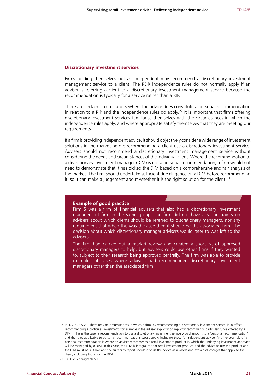#### **Discretionary investment services**

Firms holding themselves out as independent may recommend a discretionary investment management service to a client. The RDR independence rules do not normally apply if an adviser is referring a client to a discretionary investment management service because the recommendation is typically for a service rather than a RIP.

There are certain circumstances where the advice does constitute a personal recommendation in relation to a RIP and the independence rules do apply.<sup>22</sup> It is important that firms offering discretionary investment services familiarise themselves with the circumstances in which the independence rules apply, and where appropriate satisfy themselves that they are meeting our requirements.

If a firm is providing independent advice, it should objectively consider a wide range of investment solutions in the market before recommending a client use a discretionary investment service. Advisers should not recommend a discretionary investment management service without considering the needs and circumstances of the individual client. Where the recommendation to a discretionary investment manager (DIM) is not a personal recommendation, a firm would not need to demonstrate that it has picked the DIM based on a comprehensive and fair analysis of the market. The firm should undertake sufficient due diligence on a DIM before recommending it, so it can make a judgement about whether it is the right solution for the client.<sup>23</sup>

#### **Example of good practice**

Firm S was a firm of financial advisers that also had a discretionary investment management firm in the same group. The firm did not have any constraints on advisers about which clients should be referred to discretionary managers, nor any requirement that when this was the case then it should be the associated firm. The decision about which discretionary manager advisers would refer to was left to the advisers.

The firm had carried out a market review and created a short-list of approved discretionary managers to help, but advisers could use other firms if they wanted to, subject to their research being approved centrally. The firm was able to provide examples of cases where advisers had recommended discretionary investment managers other than the associated firm.

<sup>22</sup> FG12/15, S 5.20: There may be circumstances in which a firm, by recommending a discretionary investment service, is in effect recommending a particular investment, for example if the adviser explicitly or implicitly recommends particular funds offered by a DIM. If this is the case, a recommendation to use a discretionary investment service would amount to a 'personal recommendation' and the rules applicable to personal recommendations would apply, including those for independent advice. Another example of a personal recommendation is where an adviser recommends a retail investment product in which the underlying investment approach will be managed by a DIM. In this case, the DIM is integral to that retail investment product, and the advice to use the product and the DIM must be suitable and the suitability report should discuss the advice as a whole and explain all charges that apply to the client, including those for the DIM.

<sup>23</sup> FG12/15 paragraph 5.19.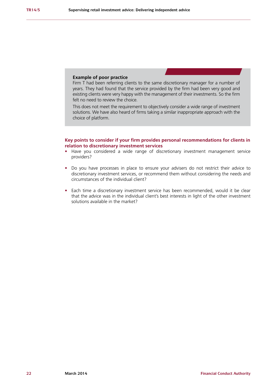#### **Example of poor practice**

Firm T had been referring clients to the same discretionary manager for a number of years. They had found that the service provided by the firm had been very good and existing clients were very happy with the management of their investments. So the firm felt no need to review the choice.

This does not meet the requirement to objectively consider a wide range of investment solutions. We have also heard of firms taking a similar inappropriate approach with the choice of platform.

#### **Key points to consider if your firm provides personal recommendations for clients in relation to discretionary investment services**

- **•** Have you considered a wide range of discretionary investment management service providers?
- **•** Do you have processes in place to ensure your advisers do not restrict their advice to discretionary investment services, or recommend them without considering the needs and circumstances of the individual client?
- **•** Each time a discretionary investment service has been recommended, would it be clear that the advice was in the individual client's best interests in light of the other investment solutions available in the market?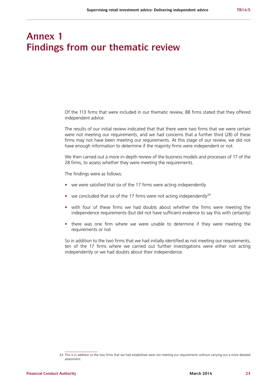# **Annex 1 Findings from our thematic review**

Of the 113 firms that were included in our thematic review, 88 firms stated that they offered independent advice.

The results of our initial review indicated that that there were two firms that we were certain were not meeting our requirements, and we had concerns that a further third (28) of these firms may not have been meeting our requirements. At this stage of our review, we did not have enough information to determine if the majority firms were independent or not.

We then carried out a more in-depth review of the business models and processes of 17 of the 28 firms, to assess whether they were meeting the requirements.

The findings were as follows:

- **•** we were satisfied that six of the 17 firms were acting independently
- we concluded that six of the 17 firms were not acting independently<sup>24</sup>
- **•** with four of these firms we had doubts about whether the firms were meeting the independence requirements (but did not have sufficient evidence to say this with certainty)
- **•** there was one firm where we were unable to determine if they were meeting the requirements or not

So in addition to the two firms that we had initially identified as not meeting our requirements, ten of the 17 firms where we carried out further investigations were either not acting independently or we had doubts about their independence.

<sup>24</sup> This is in addition to the two firms that we had established were not meeting our requirements without carrying out a more detailed assessment.